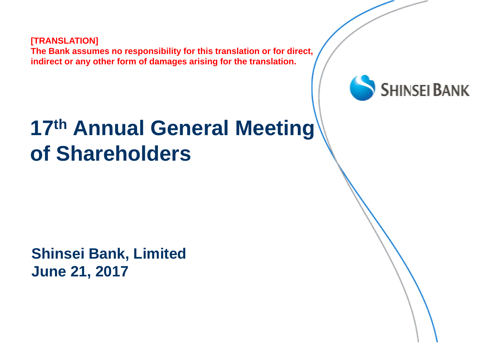**[TRANSLATION] The Bank assumes no responsibility for this translation or for direct, indirect or any other form of damages arising for the translation.**



#### **17th Annual General Meeting of Shareholders**

**Shinsei Bank, Limited June 21, 2017**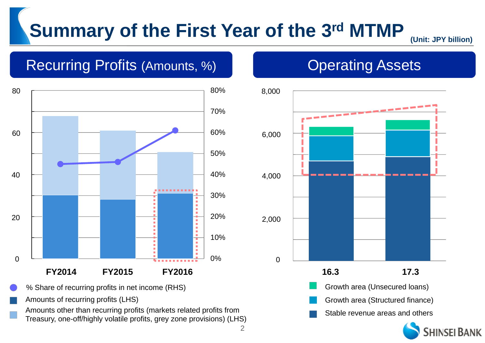#### **Summary of the First Year of the 3rd MTMP**

2

**(Unit: JPY billion)**

#### Recurring Profits (Amounts, %) Networks Change Assets



Amounts of recurring profits (LHS)

Amounts other than recurring profits (markets related profits from Treasury, one-off/highly volatile profits, grey zone provisions) (LHS)



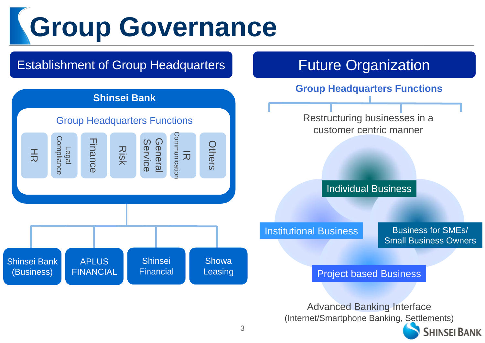# **Group Governance**

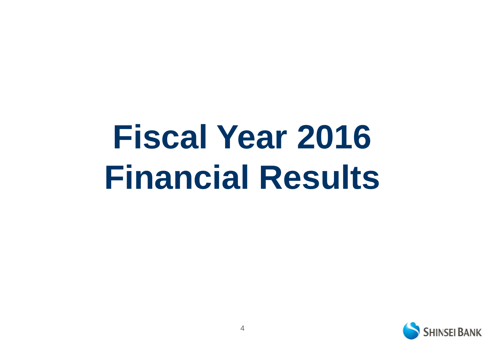# **Fiscal Year 2016 Financial Results**

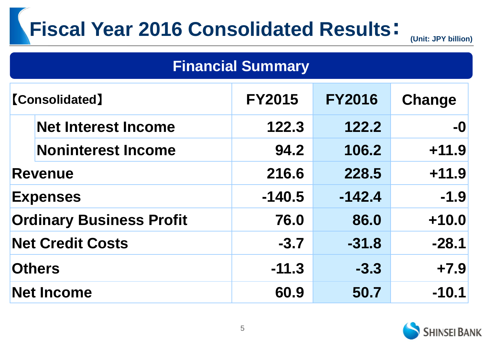## **Fiscal Year 2016 Consolidated Results**: **(Unit: JPY billion)**

| <b>Financial Summary</b>        |                            |               |               |         |  |
|---------------------------------|----------------------------|---------------|---------------|---------|--|
| <b>[Consolidated]</b>           |                            | <b>FY2015</b> | <b>FY2016</b> | Change  |  |
|                                 | <b>Net Interest Income</b> | 122.3         | 122.2         | $-0$    |  |
|                                 | <b>Noninterest Income</b>  | 94.2          | 106.2         | $+11.9$ |  |
| <b>Revenue</b>                  |                            | 216.6         | 228.5         | $+11.9$ |  |
| <b>Expenses</b>                 |                            | $-140.5$      | $-142.4$      | $-1.9$  |  |
| <b>Ordinary Business Profit</b> |                            | 76.0          | 86.0          | $+10.0$ |  |
| <b>Net Credit Costs</b>         |                            | $-3.7$        | $-31.8$       | $-28.1$ |  |
| <b>Others</b>                   |                            | $-11.3$       | $-3.3$        | $+7.9$  |  |
| <b>Net Income</b>               |                            | 60.9          | 50.7          | $-10.1$ |  |

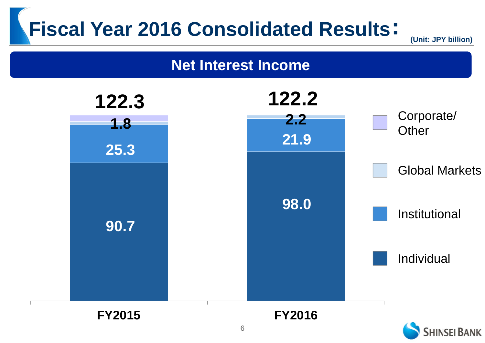**(Unit: JPY billion)**

#### **Net Interest Income**

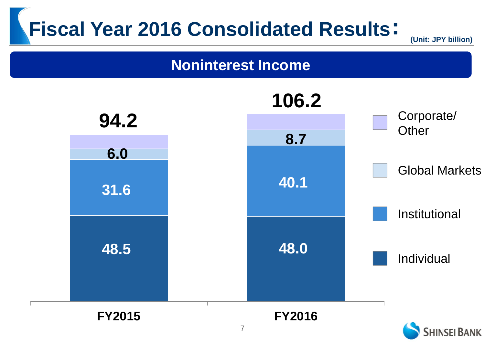**(Unit: JPY billion)**

#### **Noninterest Income**

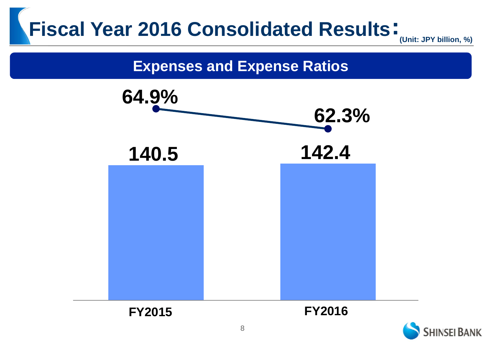**(Unit: JPY billion, %)**

#### **Expenses and Expense Ratios**



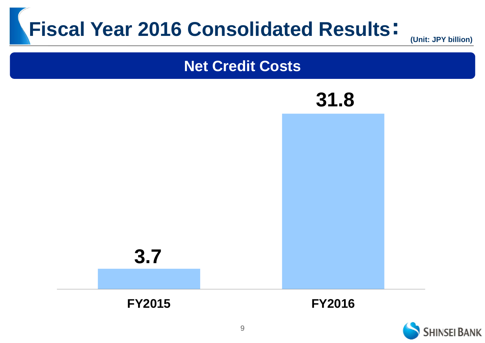





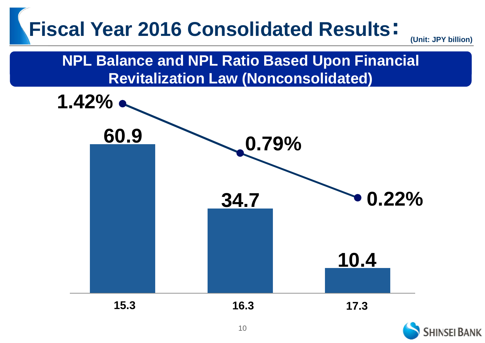**(Unit: JPY billion)**



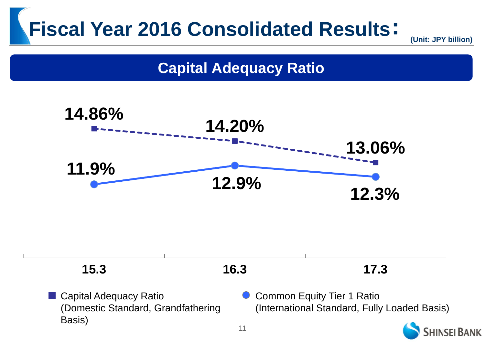**(Unit: JPY billion)**

#### **Capital Adequacy Ratio**

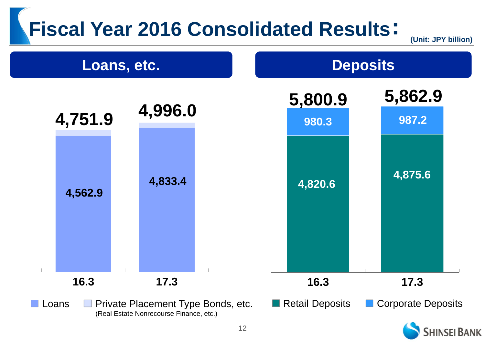**(Unit: JPY billion)**

**SHINSEI BANK** 

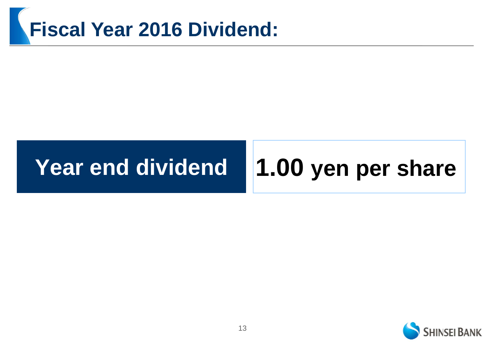## **Fiscal Year 2016 Dividend:**

#### **Year end dividend**

## **1.00 yen per share**